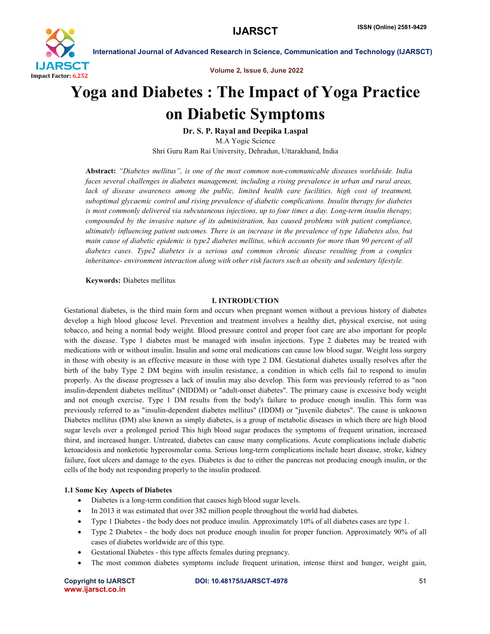

International Journal of Advanced Research in Science, Communication and Technology (IJARSCT)

Volume 2, Issue 6, June 2022

# Yoga and Diabetes : The Impact of Yoga Practice on Diabetic Symptoms

Dr. S. P. Rayal and Deepika Laspal M.A Yogic Science Shri Guru Ram Rai University, Dehradun, Uttarakhand, India

Abstract: *"Diabetes mellitus", is one of the most common non-communicable diseases worldwide. India faces several challenges in diabetes management, including a rising prevalence in urban and rural areas,*  lack of disease awareness among the public, limited health care facilities, high cost of treatment, *suboptimal glycaemic control and rising prevalence of diabetic complications. Insulin therapy for diabetes is most commonly delivered via subcutaneous injections, up to four times a day. Long-term insulin therapy, compounded by the invasive nature of its administration, has caused problems with patient compliance, ultimately influencing patient outcomes. There is an increase in the prevalence of type 1diabetes also, but main cause of diabetic epidemic is type2 diabetes mellitus, which accounts for more than 90 percent of all diabetes cases. Type2 diabetes is a serious and common chronic disease resulting from a complex inheritance- environment interaction along with other risk factors such as obesity and sedentary lifestyle.*

Keywords: Diabetes mellitus

#### I. INTRODUCTION

Gestational diabetes, is the third main form and occurs when pregnant women without a previous history of diabetes develop a high blood glucose level. Prevention and treatment involves a healthy diet, physical exercise, not using tobacco, and being a normal body weight. Blood pressure control and proper foot care are also important for people with the disease. Type 1 diabetes must be managed with insulin injections. Type 2 diabetes may be treated with medications with or without insulin. Insulin and some oral medications can cause low blood sugar. Weight loss surgery in those with obesity is an effective measure in those with type 2 DM. Gestational diabetes usually resolves after the birth of the baby Type 2 DM begins with insulin resistance, a condition in which cells fail to respond to insulin properly. As the disease progresses a lack of insulin may also develop. This form was previously referred to as "non insulin-dependent diabetes mellitus" (NIDDM) or "adult-onset diabetes". The primary cause is excessive body weight and not enough exercise. Type 1 DM results from the body's failure to produce enough insulin. This form was previously referred to as "insulin-dependent diabetes mellitus" (IDDM) or "juvenile diabetes". The cause is unknown Diabetes mellitus (DM) also known as simply diabetes, is a group of metabolic diseases in which there are high blood sugar levels over a prolonged period This high blood sugar produces the symptoms of frequent urination, increased thirst, and increased hunger. Untreated, diabetes can cause many complications. Acute complications include diabetic ketoacidosis and nonketotic hyperosmolar coma. Serious long-term complications include heart disease, stroke, kidney failure, foot ulcers and damage to the eyes. Diabetes is due to either the pancreas not producing enough insulin, or the cells of the body not responding properly to the insulin produced.

## 1.1 Some Key Aspects of Diabetes

- Diabetes is a long-term condition that causes high blood sugar levels.
- In 2013 it was estimated that over 382 million people throughout the world had diabetes.
- Type 1 Diabetes the body does not produce insulin. Approximately 10% of all diabetes cases are type 1.
- Type 2 Diabetes the body does not produce enough insulin for proper function. Approximately 90% of all cases of diabetes worldwide are of this type.
- Gestational Diabetes this type affects females during pregnancy.
- The most common diabetes symptoms include frequent urination, intense thirst and hunger, weight gain,

www.ijarsct.co.in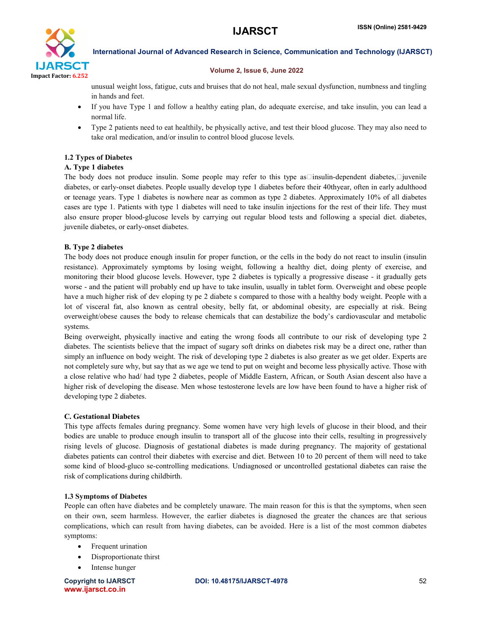

International Journal of Advanced Research in Science, Communication and Technology (IJARSCT)

#### Volume 2, Issue 6, June 2022

unusual weight loss, fatigue, cuts and bruises that do not heal, male sexual dysfunction, numbness and tingling in hands and feet.

- If you have Type 1 and follow a healthy eating plan, do adequate exercise, and take insulin, you can lead a normal life.
- Type 2 patients need to eat healthily, be physically active, and test their blood glucose. They may also need to take oral medication, and/or insulin to control blood glucose levels.

## 1.2 Types of Diabetes

## A. Type 1 diabetes

The body does not produce insulin. Some people may refer to this type as  $\Box$ insulin-dependent diabetes, $\Box$ iuvenile diabetes, or early-onset diabetes. People usually develop type 1 diabetes before their 40thyear, often in early adulthood or teenage years. Type 1 diabetes is nowhere near as common as type 2 diabetes. Approximately 10% of all diabetes cases are type 1. Patients with type 1 diabetes will need to take insulin injections for the rest of their life. They must also ensure proper blood-glucose levels by carrying out regular blood tests and following a special diet. diabetes, juvenile diabetes, or early-onset diabetes.

# B. Type 2 diabetes

The body does not produce enough insulin for proper function, or the cells in the body do not react to insulin (insulin resistance). Approximately symptoms by losing weight, following a healthy diet, doing plenty of exercise, and monitoring their blood glucose levels. However, type 2 diabetes is typically a progressive disease - it gradually gets worse - and the patient will probably end up have to take insulin, usually in tablet form. Overweight and obese people have a much higher risk of dev eloping ty pe 2 diabete s compared to those with a healthy body weight. People with a lot of visceral fat, also known as central obesity, belly fat, or abdominal obesity, are especially at risk. Being overweight/obese causes the body to release chemicals that can destabilize the body's cardiovascular and metabolic systems.

Being overweight, physically inactive and eating the wrong foods all contribute to our risk of developing type 2 diabetes. The scientists believe that the impact of sugary soft drinks on diabetes risk may be a direct one, rather than simply an influence on body weight. The risk of developing type 2 diabetes is also greater as we get older. Experts are not completely sure why, but say that as we age we tend to put on weight and become less physically active. Those with a close relative who had/ had type 2 diabetes, people of Middle Eastern, African, or South Asian descent also have a higher risk of developing the disease. Men whose testosterone levels are low have been found to have a higher risk of developing type 2 diabetes.

## C. Gestational Diabetes

This type affects females during pregnancy. Some women have very high levels of glucose in their blood, and their bodies are unable to produce enough insulin to transport all of the glucose into their cells, resulting in progressively rising levels of glucose. Diagnosis of gestational diabetes is made during pregnancy. The majority of gestational diabetes patients can control their diabetes with exercise and diet. Between 10 to 20 percent of them will need to take some kind of blood-gluco se-controlling medications. Undiagnosed or uncontrolled gestational diabetes can raise the risk of complications during childbirth.

## 1.3 Symptoms of Diabetes

People can often have diabetes and be completely unaware. The main reason for this is that the symptoms, when seen on their own, seem harmless. However, the earlier diabetes is diagnosed the greater the chances are that serious complications, which can result from having diabetes, can be avoided. Here is a list of the most common diabetes symptoms:

- Frequent urination
- Disproportionate thirst
- Intense hunger

www.ijarsct.co.in